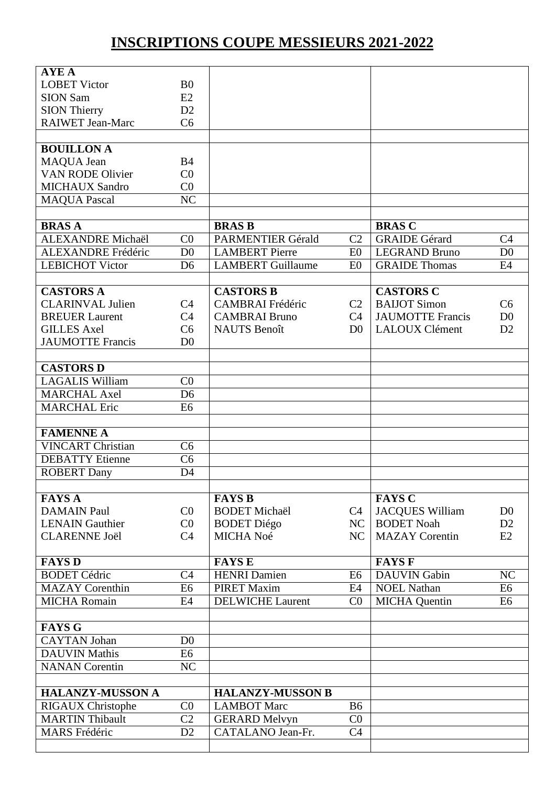## **INSCRIPTIONS COUPE MESSIEURS 2021-2022**

| <b>AYE A</b>              |                        |                                             |                |                         |                |
|---------------------------|------------------------|---------------------------------------------|----------------|-------------------------|----------------|
| <b>LOBET Victor</b>       | B <sub>0</sub>         |                                             |                |                         |                |
| <b>SION Sam</b>           | E2                     |                                             |                |                         |                |
| <b>SION Thierry</b>       | D2                     |                                             |                |                         |                |
| <b>RAIWET Jean-Marc</b>   | C <sub>6</sub>         |                                             |                |                         |                |
|                           |                        |                                             |                |                         |                |
| <b>BOUILLON A</b>         |                        |                                             |                |                         |                |
| MAQUA Jean                | <b>B4</b>              |                                             |                |                         |                |
| <b>VAN RODE Olivier</b>   | CO                     |                                             |                |                         |                |
| <b>MICHAUX Sandro</b>     | C <sub>0</sub>         |                                             |                |                         |                |
| <b>MAQUA Pascal</b>       | $\overline{\text{NC}}$ |                                             |                |                         |                |
|                           |                        |                                             |                |                         |                |
| <b>BRASA</b>              |                        | <b>BRAS B</b>                               |                | <b>BRAS C</b>           |                |
| <b>ALEXANDRE</b> Michaël  | C <sub>0</sub>         | <b>PARMENTIER Gérald</b>                    | C <sub>2</sub> | <b>GRAIDE</b> Gérard    | C <sub>4</sub> |
| <b>ALEXANDRE</b> Frédéric | D <sub>0</sub>         | <b>LAMBERT</b> Pierre                       | E <sub>0</sub> | <b>LEGRAND Bruno</b>    | D <sub>0</sub> |
| <b>LEBICHOT Victor</b>    | D <sub>6</sub>         | <b>LAMBERT Guillaume</b>                    | E <sub>0</sub> | <b>GRAIDE Thomas</b>    | E4             |
|                           |                        |                                             |                |                         |                |
| <b>CASTORS A</b>          |                        | <b>CASTORS B</b>                            |                | <b>CASTORS C</b>        |                |
| <b>CLARINVAL Julien</b>   | C <sub>4</sub>         | <b>CAMBRAI</b> Frédéric                     | C <sub>2</sub> | <b>BAIJOT Simon</b>     | C <sub>6</sub> |
| <b>BREUER Laurent</b>     | C <sub>4</sub>         |                                             |                | <b>JAUMOTTE Francis</b> | D <sub>0</sub> |
|                           |                        | <b>CAMBRAI Bruno</b><br><b>NAUTS</b> Benoît | C4             | <b>LALOUX Clément</b>   |                |
| <b>GILLES Axel</b>        | C <sub>6</sub>         |                                             | D <sub>0</sub> |                         | D2             |
| <b>JAUMOTTE Francis</b>   | D <sub>0</sub>         |                                             |                |                         |                |
|                           |                        |                                             |                |                         |                |
| <b>CASTORS D</b>          |                        |                                             |                |                         |                |
| <b>LAGALIS William</b>    | CO                     |                                             |                |                         |                |
| <b>MARCHAL Axel</b>       | D <sub>6</sub>         |                                             |                |                         |                |
| <b>MARCHAL Eric</b>       | E <sub>6</sub>         |                                             |                |                         |                |
|                           |                        |                                             |                |                         |                |
| <b>FAMENNE A</b>          |                        |                                             |                |                         |                |
| <b>VINCART Christian</b>  | C <sub>6</sub>         |                                             |                |                         |                |
| <b>DEBATTY</b> Etienne    | C <sub>6</sub>         |                                             |                |                         |                |
| <b>ROBERT Dany</b>        | D <sub>4</sub>         |                                             |                |                         |                |
|                           |                        |                                             |                |                         |                |
| <b>FAYS A</b>             |                        | <b>FAYS B</b>                               |                | <b>FAYS C</b>           |                |
| <b>DAMAIN Paul</b>        | C <sub>0</sub>         | <b>BODET Michaël</b>                        | C4             | <b>JACQUES William</b>  | D <sub>0</sub> |
| <b>LENAIN</b> Gauthier    | C <sub>0</sub>         | <b>BODET</b> Diégo                          | NC             | <b>BODET</b> Noah       | D2             |
| <b>CLARENNE Joël</b>      | C <sub>4</sub>         | MICHA Noé                                   | NC             | <b>MAZAY</b> Corentin   | E2             |
|                           |                        |                                             |                |                         |                |
| <b>FAYS D</b>             |                        | <b>FAYS E</b>                               |                | <b>FAYS F</b>           |                |
| <b>BODET Cédric</b>       | C <sub>4</sub>         | <b>HENRI</b> Damien                         | E <sub>6</sub> | <b>DAUVIN</b> Gabin     | NC             |
| <b>MAZAY</b> Corenthin    | E <sub>6</sub>         | <b>PIRET Maxim</b>                          | E4             | <b>NOEL Nathan</b>      | E <sub>6</sub> |
| <b>MICHA Romain</b>       | E4                     | <b>DELWICHE Laurent</b>                     | CO             | <b>MICHA</b> Quentin    | E <sub>6</sub> |
|                           |                        |                                             |                |                         |                |
| <b>FAYS G</b>             |                        |                                             |                |                         |                |
| <b>CAYTAN Johan</b>       | D <sub>0</sub>         |                                             |                |                         |                |
| <b>DAUVIN Mathis</b>      | E <sub>6</sub>         |                                             |                |                         |                |
| <b>NANAN</b> Corentin     | NC                     |                                             |                |                         |                |
|                           |                        |                                             |                |                         |                |
|                           |                        |                                             |                |                         |                |
| <b>HALANZY-MUSSON A</b>   |                        | <b>HALANZY-MUSSON B</b>                     |                |                         |                |
| <b>RIGAUX Christophe</b>  | CO                     | <b>LAMBOT Marc</b>                          | <b>B6</b>      |                         |                |
| <b>MARTIN Thibault</b>    | C <sub>2</sub>         | <b>GERARD Melvyn</b>                        | C <sub>0</sub> |                         |                |
| <b>MARS</b> Frédéric      | D2                     | CATALANO Jean-Fr.                           | C <sub>4</sub> |                         |                |
|                           |                        |                                             |                |                         |                |